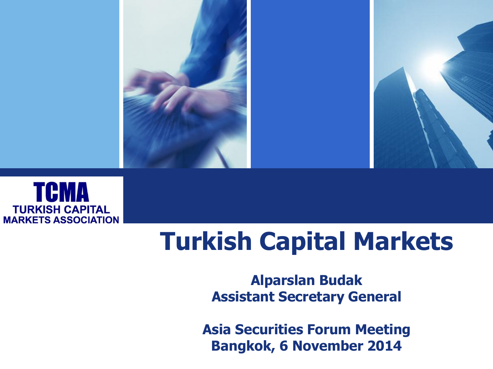



# **Turkish Capital Markets**

#### **Alparslan Budak Assistant Secretary General**

**Asia Securities Forum Meeting Bangkok, 6 November 2014**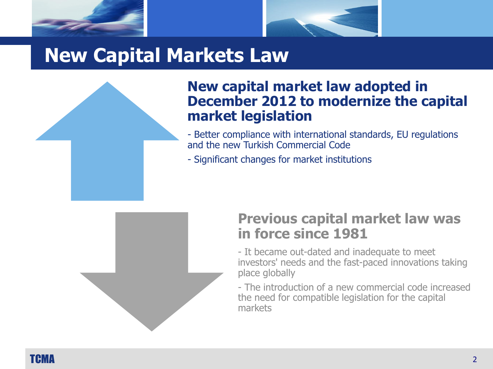



### **New Capital Markets Law**

#### **New capital market law adopted in December 2012 to modernize the capital market legislation**

- Better compliance with international standards, EU regulations and the new Turkish Commercial Code
- Significant changes for market institutions



#### **Previous capital market law was in force since 1981**

- It became out-dated and inadequate to meet investors' needs and the fast-paced innovations taking place globally

- The introduction of a new commercial code increased the need for compatible legislation for the capital markets

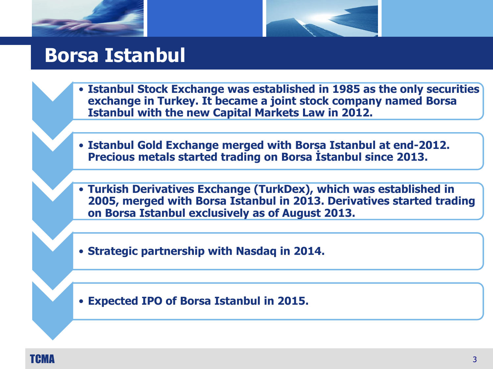



#### **Borsa Istanbul**

- **Istanbul Stock Exchange was established in 1985 as the only securities exchange in Turkey. It became a joint stock company named Borsa Istanbul with the new Capital Markets Law in 2012.**
- **Istanbul Gold Exchange merged with Borsa Istanbul at end-2012. Precious metals started trading on Borsa İstanbul since 2013.**
- **Turkish Derivatives Exchange (TurkDex), which was established in 2005, merged with Borsa Istanbul in 2013. Derivatives started trading on Borsa Istanbul exclusively as of August 2013.**
- **Strategic partnership with Nasdaq in 2014.**
- **Expected IPO of Borsa Istanbul in 2015.**

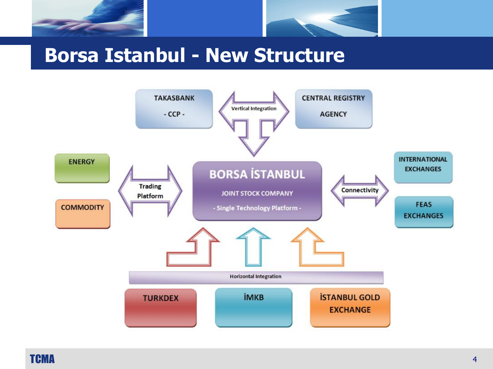



#### **Borsa Istanbul - New Structure**

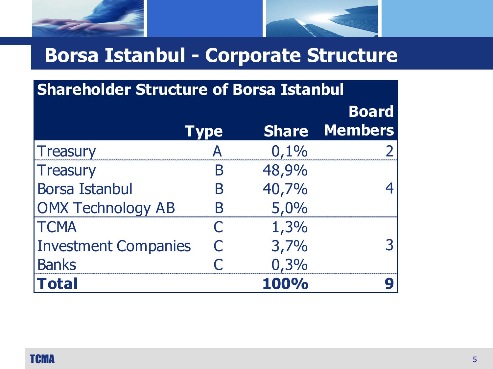



## **Borsa Istanbul - Corporate Structure**

| <b>Shareholder Structure of Borsa Istanbul</b> |             |       |                      |  |
|------------------------------------------------|-------------|-------|----------------------|--|
|                                                |             |       | <b>Board</b>         |  |
|                                                | <b>Type</b> |       | <b>Share Members</b> |  |
| <b>Treasury</b>                                |             | 0,1%  |                      |  |
| <b>Treasury</b>                                |             | 48,9% |                      |  |
| <b>Borsa Istanbul</b>                          | Β           | 40,7% |                      |  |
| <b>OMX Technology AB</b>                       |             | 5,0%  |                      |  |
| <b>TCMA</b>                                    |             | 1,3%  |                      |  |
| <b>Investment Companies</b>                    | $\bigcap$   | 3,7%  |                      |  |
| <b>Banks</b>                                   |             | 0,3%  |                      |  |
| <b>Total</b>                                   |             | 100%  |                      |  |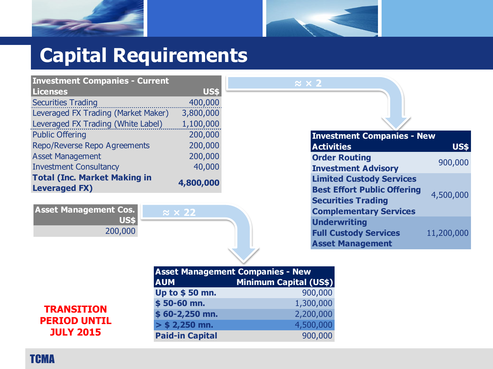



## **Capital Requirements**

| <b>Investment Companies - Current</b>                       |           |  |
|-------------------------------------------------------------|-----------|--|
| <b>Licenses</b>                                             | US\$      |  |
| <b>Securities Trading</b>                                   | 400,000   |  |
| Leveraged FX Trading (Market Maker)                         | 3,800,000 |  |
| Leveraged FX Trading (White Label)                          | 1,100,000 |  |
| <b>Public Offering</b>                                      | 200,000   |  |
| Repo/Reverse Repo Agreements                                | 200,000   |  |
| <b>Asset Management</b>                                     | 200,000   |  |
| <b>Investment Consultancy</b>                               | 40,000    |  |
| <b>Total (Inc. Market Making in</b><br><b>Leveraged FX)</b> | 4,800,000 |  |

| everaged FX Trading (White Label)                | 1,100,000             |                                    |             |
|--------------------------------------------------|-----------------------|------------------------------------|-------------|
| Public Offering                                  | 200,000               | <b>Investment Companies - New</b>  |             |
| Repo/Reverse Repo Agreements                     | 200,000               | <b>Activities</b>                  | <b>US\$</b> |
| <b>Asset Management</b>                          | 200,000               | <b>Order Routing</b>               |             |
| <b>Investment Consultancy</b>                    | 40,000                | <b>Investment Advisory</b>         | 900,000     |
| <b>Fotal (Inc. Market Making in</b><br>4,800,000 |                       | <b>Limited Custody Services</b>    |             |
| everaged FX).                                    |                       | <b>Best Effort Public Offering</b> | 4,500,000   |
|                                                  |                       | <b>Securities Trading</b>          |             |
| <b>Asset Management Cos.</b>                     | $\approx$ $\times$ 22 | <b>Complementary Services</b>      |             |
| <b>US\$</b>                                      |                       | <b>Underwriting</b>                |             |
| 200,000                                          |                       | <b>Full Custody Services</b>       | 11,200,000  |
|                                                  |                       | <b>Asset Management</b>            |             |



|                                                    |                        | <b>Asset Management Companies - New</b> |  |
|----------------------------------------------------|------------------------|-----------------------------------------|--|
|                                                    | <b>AUM</b>             | <b>Minimum Capital (US\$)</b>           |  |
| RANSITION<br><b>RIOD UNTIL</b><br><b>JULY 2015</b> | Up to \$50 mn.         | 900,000                                 |  |
|                                                    | $$50-60$ mn.           | 1,300,000                               |  |
|                                                    | $$60-2,250$ mn.        | 2,200,000                               |  |
|                                                    | $>$ \$ 2,250 mn.       | 4,500,000                               |  |
|                                                    | <b>Paid-in Capital</b> | 900,000                                 |  |

**TCMA**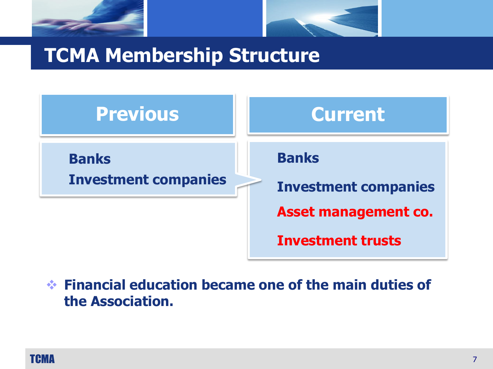



### **TCMA Membership Structure**



 **Financial education became one of the main duties of the Association.**

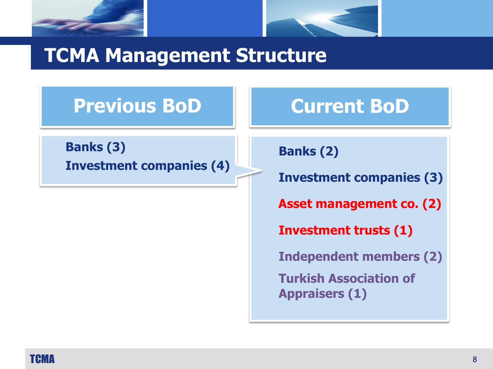



#### **TCMA Management Structure**

### **Previous BoD**

**Banks (3) Investment companies (4)**

#### **Current BoD**

**Banks (2)**

**Investment companies (3)**

**Asset management co. (2)**

**Investment trusts (1)**

**Independent members (2)**

**Turkish Association of Appraisers (1)**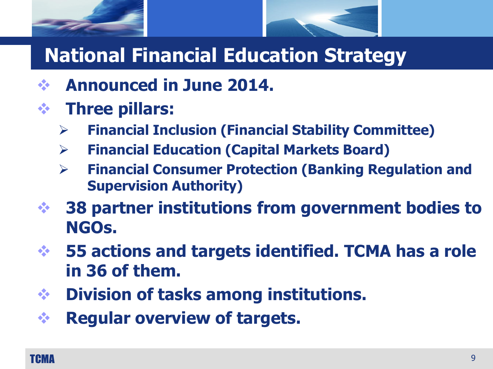



# **National Financial Education Strategy**

- **Announced in June 2014.**
- **Three pillars:**
	- **Financial Inclusion (Financial Stability Committee)**
	- **Financial Education (Capital Markets Board)**
	- **Financial Consumer Protection (Banking Regulation and Supervision Authority)**
- **38 partner institutions from government bodies to NGOs.**
- **55 actions and targets identified. TCMA has a role in 36 of them.**
- **Division of tasks among institutions.**
- **Regular overview of targets.**

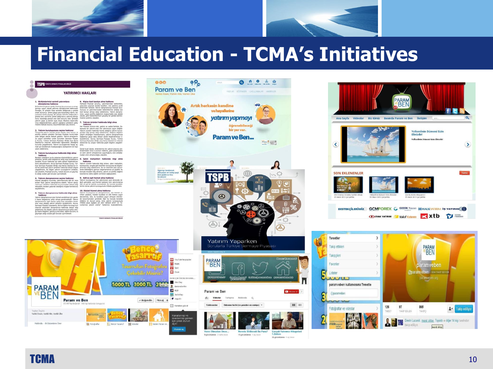



#### **Financial Education - TCMA's Initiatives**

0 1 0 2 9

#### **TSPB** Noon so

#### YATIRIMCI HAKLARI

the memoir following is priors, mutually as presentational behaviour<br>form and proposition in the second control of the second control of the<br>proposition in the second control of the second control of the second<br>second con

slannda hesap ac- secu

Genel kural olarak

6. Kişiye özel tavsiye alma hakkınız

endimeden doce o únicion m<br>handlaganaz hakkanda bilgi alma ve sizin yatırın amaçlarınız u

 $000$ 

razlan emin almanız doğuvu<br>1981 Gəlişməyi düşündüğünüz yatırmı<br>1990 Delgelerine sahip olup olmadıklarını **.B. İşlem -mailiyetleri** elgelerine sahip olup olmadıkların<br>da sizi daha detaylı bilgilendirme<br>nca Sermave Pivasası Kurulu, Tür Bridi veya Borsa İstanbul'un in sa zatanourun en<br>väx detaylı bilgiye<br>glannın ortakları, e kesuresier konstitutiod od o<br>nür. Bu tür kesintiler bazı o<br>ve ulteramamanına vel arab hukuki durumu ve geçmiş-

9. Adil ve esit hizmet alma hakkıng enumda, yabınmanında ilgili bir veya . Yabınm kuruluşi<br>- danışmanınız olabilir. Yabınm danışı . ğelmi görmekle,<br>hakkında kurumunuzdan detaylı bağı . adli ve eşit bir ;<br>alışmak atastığınız müşteri temalicinisi. . İeriniz ol

den danışmanınız hakkında detaylı bilgi<br>bilgiler, yabrım danışmanınızın sahip oldu-<br>m, geçmiş iş tecrübesi, eğitim dunumu ve<br>otzalar gibi konuları içermektedir.

10. Dürüst hizmet alma hakkınız<br>Yohnn kunluşunu ve danşmanızır, size hiz<br>Yohnn kunluşunu ve danşmanızır, size hizme<br>Johnness, size, bu kunlları veçen olmayırı<br>Johnnessin geskide. Eğe bu kunlları veçen<br>10. bulunmanları gesk







Yarın Olmadan Once... 9 görüntüleme 2 hatta önce





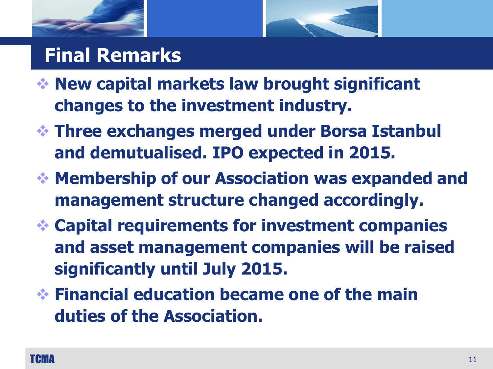

### **Final Remarks**

- **New capital markets law brought significant changes to the investment industry.**
- **Three exchanges merged under Borsa Istanbul and demutualised. IPO expected in 2015.**
- **Membership of our Association was expanded and management structure changed accordingly.**
- **Capital requirements for investment companies and asset management companies will be raised significantly until July 2015.**
- **Financial education became one of the main duties of the Association.**